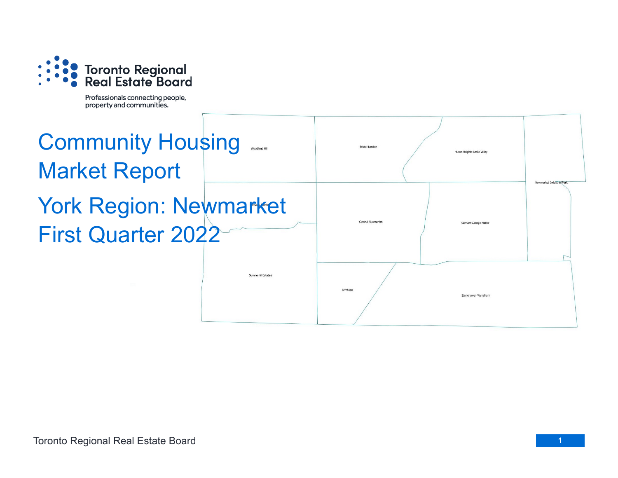

Professionals connecting people, property and communities.

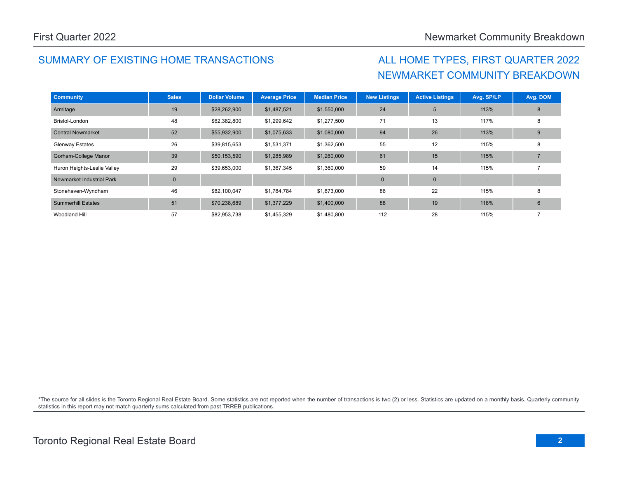## SUMMARY OF EXISTING HOME TRANSACTIONS ALL HOME TYPES, FIRST QUARTER 2022

# NEWMARKET COMMUNITY BREAKDOWN

| <b>Community</b>            | <b>Sales</b>   | <b>Dollar Volume</b> | <b>Average Price</b> | <b>Median Price</b> | <b>New Listings</b> | <b>Active Listings</b> | Avg. SP/LP | Avg. DOM |
|-----------------------------|----------------|----------------------|----------------------|---------------------|---------------------|------------------------|------------|----------|
| Armitage                    | 19             | \$28,262,900         | \$1,487,521          | \$1,550,000         | 24                  | 5                      | 113%       | 8        |
| Bristol-London              | 48             | \$62,382,800         | \$1,299,642          | \$1,277,500         | 71                  | 13                     | 117%       | 8        |
| <b>Central Newmarket</b>    | 52             | \$55,932,900         | \$1,075,633          | \$1,080,000         | 94                  | 26                     | 113%       | 9        |
| <b>Glenway Estates</b>      | 26             | \$39,815,653         | \$1,531,371          | \$1,362,500         | 55                  | 12                     | 115%       | 8        |
| Gorham-College Manor        | 39             | \$50,153,590         | \$1,285,989          | \$1,260,000         | 61                  | 15                     | 115%       |          |
| Huron Heights-Leslie Valley | 29             | \$39,653,000         | \$1,367,345          | \$1,360,000         | 59                  | 14                     | 115%       |          |
| Newmarket Industrial Park   | $\overline{0}$ |                      |                      |                     | $\mathbf 0$         | $\mathbf 0$            |            |          |
| Stonehaven-Wyndham          | 46             | \$82,100,047         | \$1,784,784          | \$1,873,000         | 86                  | 22                     | 115%       | 8        |
| <b>Summerhill Estates</b>   | 51             | \$70,238,689         | \$1,377,229          | \$1,400,000         | 88                  | 19                     | 118%       | 6        |
| Woodland Hill               | 57             | \$82,953,738         | \$1,455,329          | \$1,480,800         | 112                 | 28                     | 115%       |          |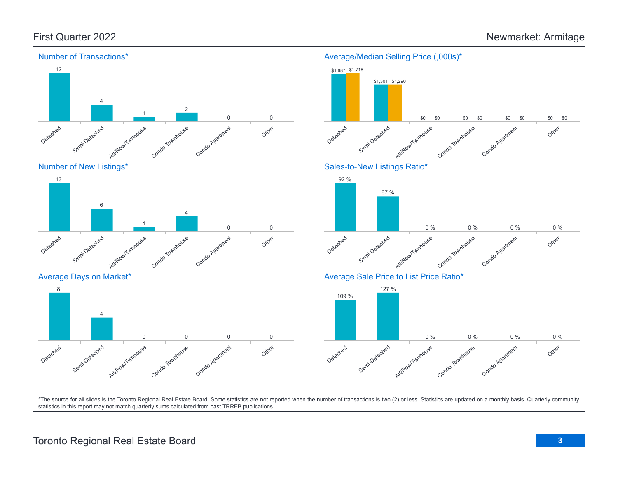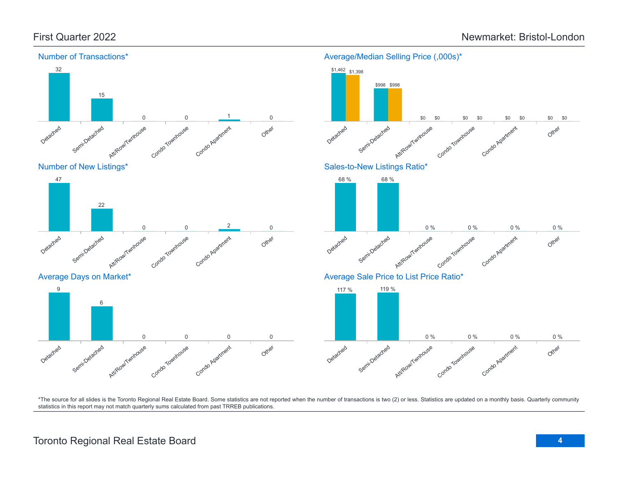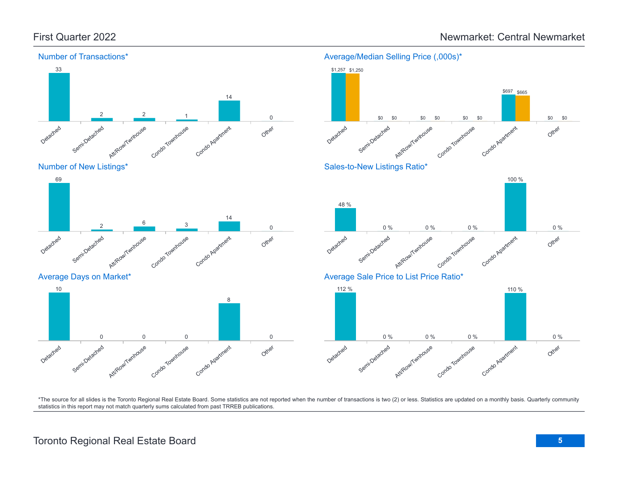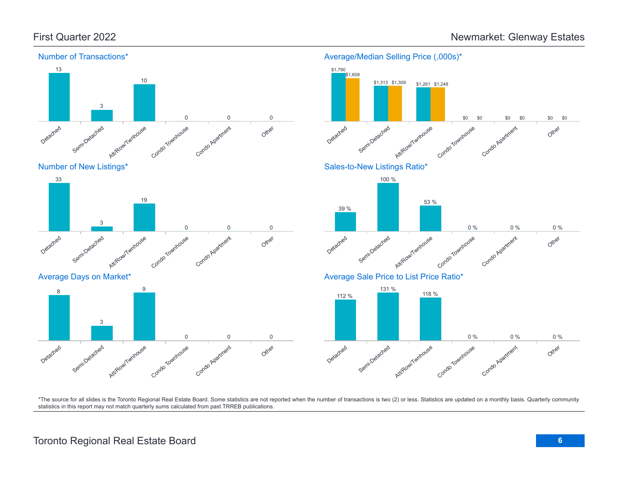



#### Average Days on Market\*



### Detached Semi-Detached Attikow/Twnhouse Condo Townhouse Condo Apartment Other \$1,790 \$1,313 \$1,261 \$0 \$0 \$0 \$1,608 \$1,309 \$1,248 \$0 \$0 \$0 \$0 \$0 Sales-to-New Listings Ratio\* Detached Semi-Detached Atti/Row/Twnhouse Condo Townhouse Condo Apartment Other 39 % 100 % 53 % 0 % 0 % 0 % Average Sale Price to List Price Ratio\* 112 % 131 % 118 %

Average/Median Selling Price (,000s)\*



\*The source for all slides is the Toronto Regional Real Estate Board. Some statistics are not reported when the number of transactions is two (2) or less. Statistics are updated on a monthly basis. Quarterly community statistics in this report may not match quarterly sums calculated from past TRREB publications.

## Toronto Regional Real Estate Board **6**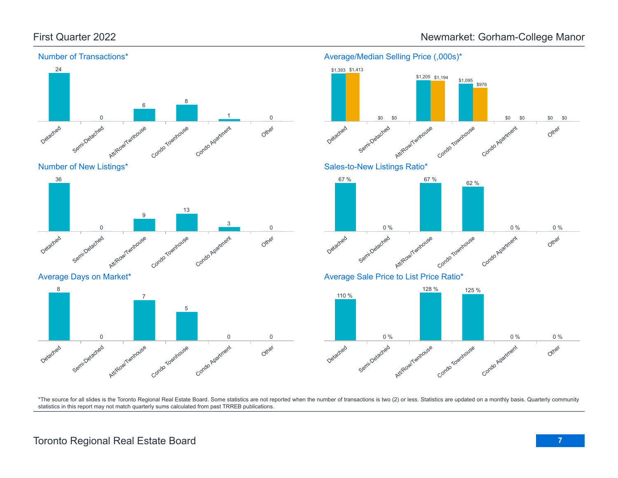

Condo Townhouse

Condo Apartment

#### Average/Median Selling Price (,000s)\*



\*The source for all slides is the Toronto Regional Real Estate Board. Some statistics are not reported when the number of transactions is two (2) or less. Statistics are updated on a monthly basis. Quarterly community statistics in this report may not match quarterly sums calculated from past TRREB publications.

Other

0 0

Att/Row/Twnhouse

Detached

Semi-Detached

0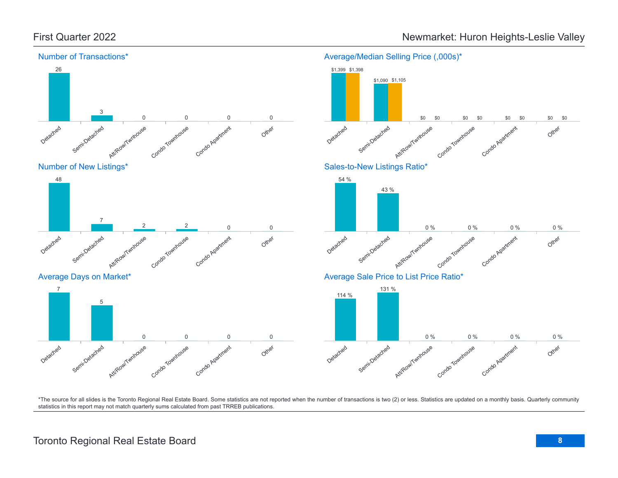

First Quarter 2022 **Newmarket: Huron Heights-Leslie Valley** 

\*The source for all slides is the Toronto Regional Real Estate Board. Some statistics are not reported when the number of transactions is two (2) or less. Statistics are updated on a monthly basis. Quarterly community statistics in this report may not match quarterly sums calculated from past TRREB publications.

Other

Other

Other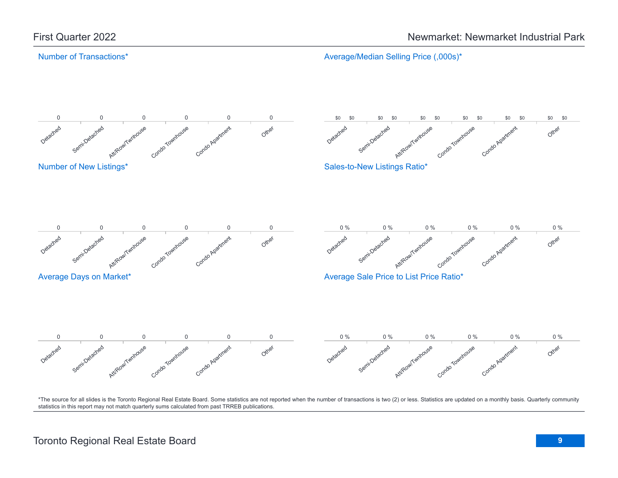#### Number of Transactions\*

Average/Median Selling Price (,000s)\*

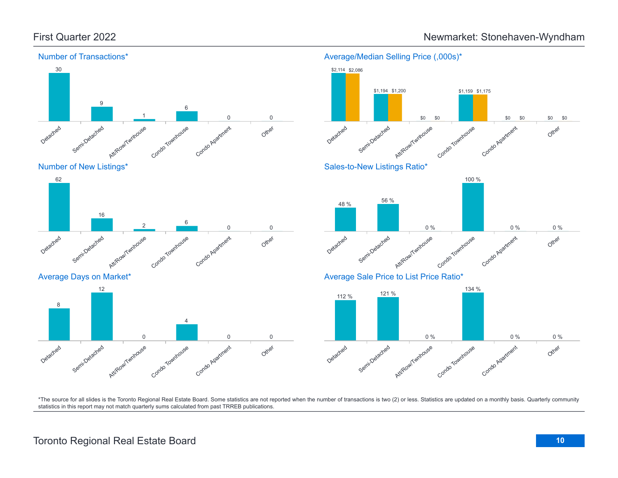

#### Average/Median Selling Price (,000s)\*





Average Days on Market\*

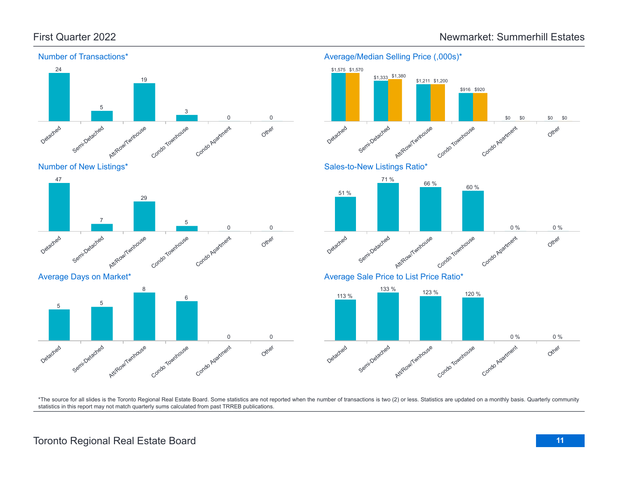

Number of New Listings\*



Average Days on Market\*





\*The source for all slides is the Toronto Regional Real Estate Board. Some statistics are not reported when the number of transactions is two (2) or less. Statistics are updated on a monthly basis. Quarterly community statistics in this report may not match quarterly sums calculated from past TRREB publications.

## Toronto Regional Real Estate Board **11**